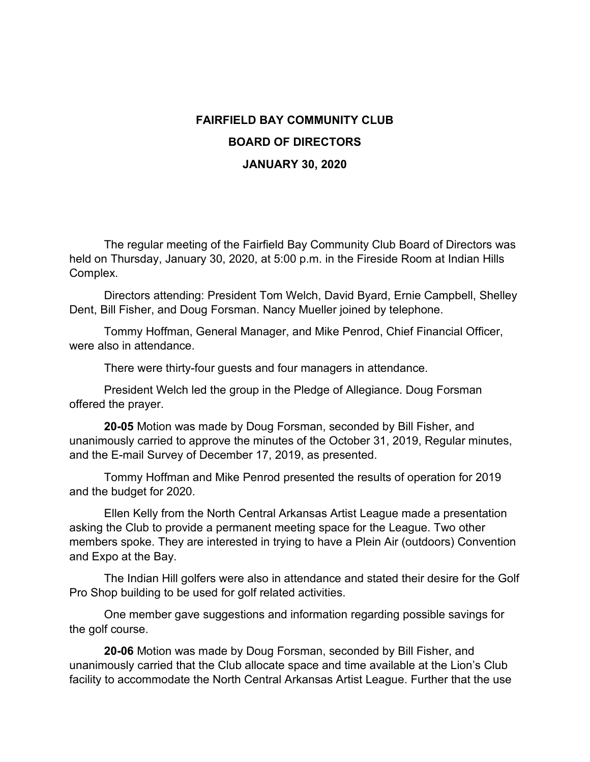## **FAIRFIELD BAY COMMUNITY CLUB BOARD OF DIRECTORS JANUARY 30, 2020**

The regular meeting of the Fairfield Bay Community Club Board of Directors was held on Thursday, January 30, 2020, at 5:00 p.m. in the Fireside Room at Indian Hills Complex.

Directors attending: President Tom Welch, David Byard, Ernie Campbell, Shelley Dent, Bill Fisher, and Doug Forsman. Nancy Mueller joined by telephone.

Tommy Hoffman, General Manager, and Mike Penrod, Chief Financial Officer, were also in attendance.

There were thirty-four guests and four managers in attendance.

President Welch led the group in the Pledge of Allegiance. Doug Forsman offered the prayer.

**20-05** Motion was made by Doug Forsman, seconded by Bill Fisher, and unanimously carried to approve the minutes of the October 31, 2019, Regular minutes, and the E-mail Survey of December 17, 2019, as presented.

Tommy Hoffman and Mike Penrod presented the results of operation for 2019 and the budget for 2020.

Ellen Kelly from the North Central Arkansas Artist League made a presentation asking the Club to provide a permanent meeting space for the League. Two other members spoke. They are interested in trying to have a Plein Air (outdoors) Convention and Expo at the Bay.

The Indian Hill golfers were also in attendance and stated their desire for the Golf Pro Shop building to be used for golf related activities.

One member gave suggestions and information regarding possible savings for the golf course.

**20-06** Motion was made by Doug Forsman, seconded by Bill Fisher, and unanimously carried that the Club allocate space and time available at the Lion's Club facility to accommodate the North Central Arkansas Artist League. Further that the use